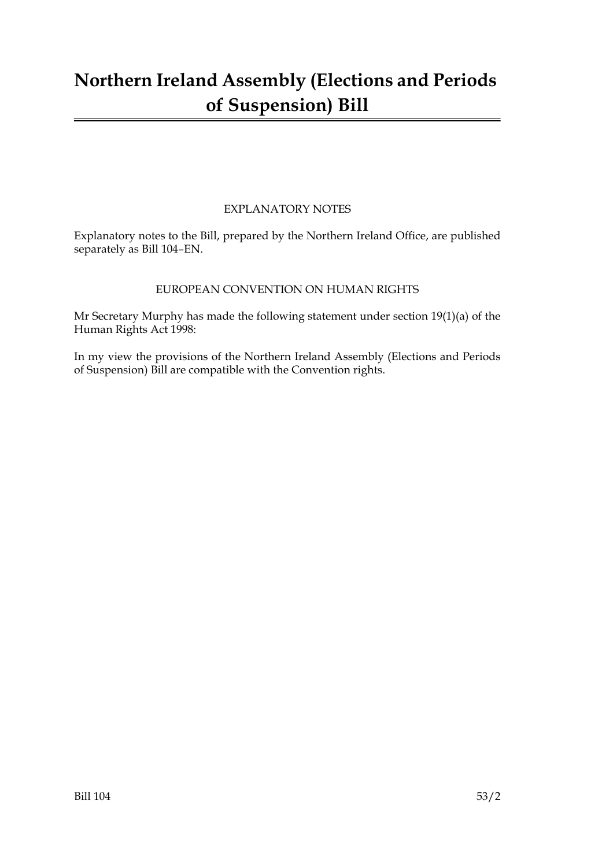# **Northern Ireland Assembly (Elections and Periods of Suspension) Bill**

### EXPLANATORY NOTES

Explanatory notes to the Bill, prepared by the Northern Ireland Office, are published separately as Bill 104–EN.

#### EUROPEAN CONVENTION ON HUMAN RIGHTS

Mr Secretary Murphy has made the following statement under section 19(1)(a) of the Human Rights Act 1998:

In my view the provisions of the Northern Ireland Assembly (Elections and Periods of Suspension) Bill are compatible with the Convention rights.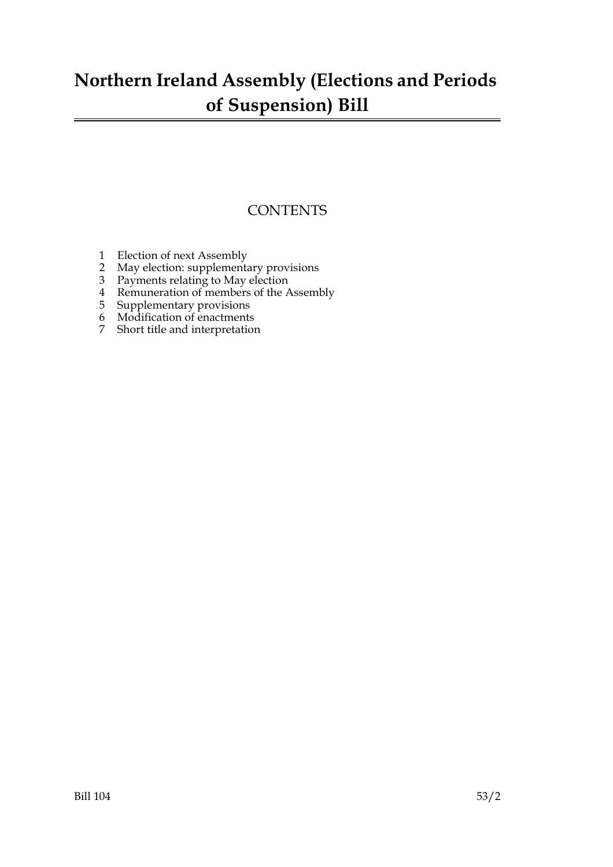# **Northern Ireland Assembly (Elections and Periods of Suspension) Bill**

### **CONTENTS**

- 1 Election of next Assembly
- 2 May election: supplementary provisions
- 3 Payments relating to May election
- 4 Remuneration of members of the Assembly
- 5 Supplementary provisions
- 6 Modification of enactments
- 7 Short title and interpretation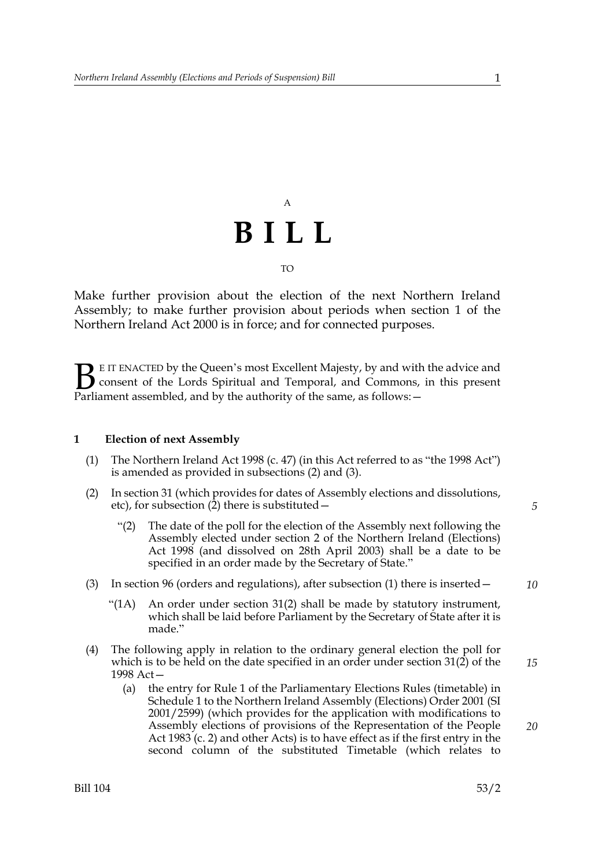# A **BILL** TO

Make further provision about the election of the next Northern Ireland Assembly; to make further provision about periods when section 1 of the Northern Ireland Act 2000 is in force; and for connected purposes.

E IT ENACTED by the Queen's most Excellent Majesty, by and with the advice and consent of the Lords Spiritual and Temporal, and Commons, in this present **B** E IT ENACTED by the Queen's most Excellent Majesty, by and with consent of the Lords Spiritual and Temporal, and Commons, Parliament assembled, and by the authority of the same, as follows:  $-$ 

#### **1 Election of next Assembly**

- (1) The Northern Ireland Act 1998 (c. 47) (in this Act referred to as "the 1998 Act") is amended as provided in subsections (2) and (3).
- (2) In section 31 (which provides for dates of Assembly elections and dissolutions, etc), for subsection (2) there is substituted—
	- "(2) The date of the poll for the election of the Assembly next following the Assembly elected under section 2 of the Northern Ireland (Elections) Act 1998 (and dissolved on 28th April 2003) shall be a date to be specified in an order made by the Secretary of State."
- (3) In section 96 (orders and regulations), after subsection (1) there is inserted—
	- "( $1A$ ) An order under section  $31(2)$  shall be made by statutory instrument, which shall be laid before Parliament by the Secretary of State after it is made."
- (4) The following apply in relation to the ordinary general election the poll for which is to be held on the date specified in an order under section 31(2) of the 1998 Act—
	- (a) the entry for Rule 1 of the Parliamentary Elections Rules (timetable) in Schedule 1 to the Northern Ireland Assembly (Elections) Order 2001 (SI 2001/2599) (which provides for the application with modifications to Assembly elections of provisions of the Representation of the People Act 1983 (c. 2) and other Acts) is to have effect as if the first entry in the second column of the substituted Timetable (which relates to

*5*

*10*

*20*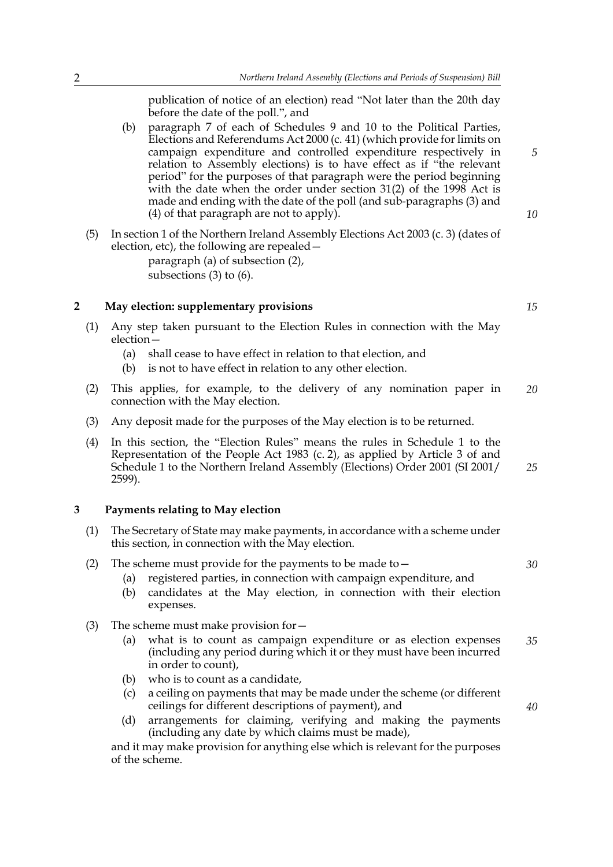publication of notice of an election) read "Not later than the 20th day before the date of the poll.", and

- (b) paragraph 7 of each of Schedules 9 and 10 to the Political Parties, Elections and Referendums Act 2000 (c. 41) (which provide for limits on campaign expenditure and controlled expenditure respectively in relation to Assembly elections) is to have effect as if "the relevant period" for the purposes of that paragraph were the period beginning with the date when the order under section 31(2) of the 1998 Act is made and ending with the date of the poll (and sub-paragraphs (3) and (4) of that paragraph are not to apply).
- (5) In section 1 of the Northern Ireland Assembly Elections Act 2003 (c. 3) (dates of election, etc), the following are repealed paragraph (a) of subsection (2), subsections (3) to (6).

#### **2 May election: supplementary provisions**

- (1) Any step taken pursuant to the Election Rules in connection with the May election—
	- (a) shall cease to have effect in relation to that election, and
	- (b) is not to have effect in relation to any other election.
- (2) This applies, for example, to the delivery of any nomination paper in connection with the May election. *20*
- (3) Any deposit made for the purposes of the May election is to be returned.
- (4) In this section, the "Election Rules" means the rules in Schedule 1 to the Representation of the People Act 1983 (c. 2), as applied by Article 3 of and Schedule 1 to the Northern Ireland Assembly (Elections) Order 2001 (SI 2001/ 2599).

#### **3 Payments relating to May election**

(1) The Secretary of State may make payments, in accordance with a scheme under this section, in connection with the May election.

#### (2) The scheme must provide for the payments to be made to—

- (a) registered parties, in connection with campaign expenditure, and
- (b) candidates at the May election, in connection with their election expenses.
- (3) The scheme must make provision for  $-$ 
	- (a) what is to count as campaign expenditure or as election expenses (including any period during which it or they must have been incurred in order to count), *35*
	- (b) who is to count as a candidate,
	- (c) a ceiling on payments that may be made under the scheme (or different ceilings for different descriptions of payment), and
	- (d) arrangements for claiming, verifying and making the payments (including any date by which claims must be made),

and it may make provision for anything else which is relevant for the purposes of the scheme.

*15*

*5*

*10*

*25*

*30*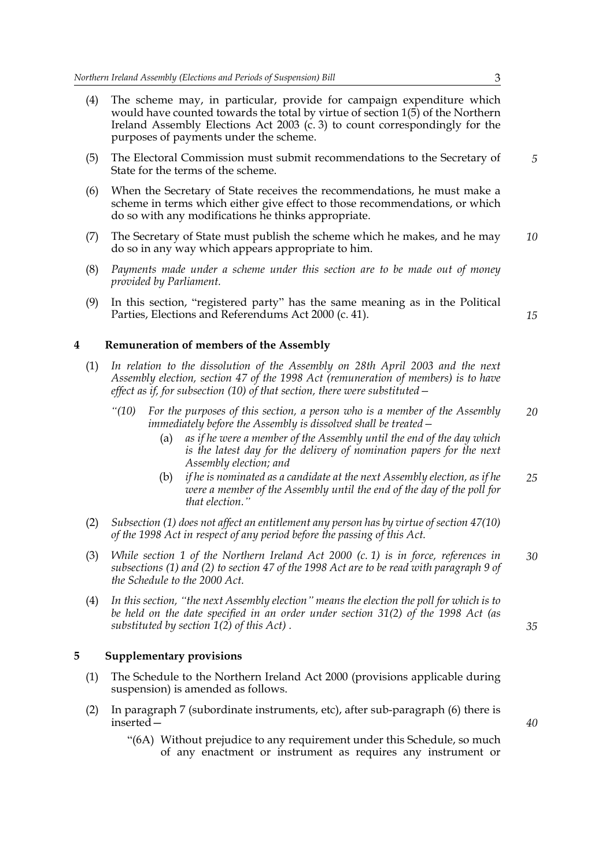- (4) The scheme may, in particular, provide for campaign expenditure which would have counted towards the total by virtue of section 1(5) of the Northern Ireland Assembly Elections Act 2003 (c. 3) to count correspondingly for the purposes of payments under the scheme.
- (5) The Electoral Commission must submit recommendations to the Secretary of State for the terms of the scheme. *5*
- (6) When the Secretary of State receives the recommendations, he must make a scheme in terms which either give effect to those recommendations, or which do so with any modifications he thinks appropriate.
- (7) The Secretary of State must publish the scheme which he makes, and he may do so in any way which appears appropriate to him. *10*
- (8) *Payments made under a scheme under this section are to be made out of money provided by Parliament.*
- (9) In this section, "registered party" has the same meaning as in the Political Parties, Elections and Referendums Act 2000 (c. 41).

**4 Remuneration of members of the Assembly**

- (1) *In relation to the dissolution of the Assembly on 28th April 2003 and the next Assembly election, section 47 of the 1998 Act (remuneration of members) is to have effect as if, for subsection (10) of that section, there were substituted—*
	- *"(10) For the purposes of this section, a person who is a member of the Assembly immediately before the Assembly is dissolved shall be treated— 20*
		- (a) *as if he were a member of the Assembly until the end of the day which is the latest day for the delivery of nomination papers for the next Assembly election; and*
		- (b) *if he is nominated as a candidate at the next Assembly election, as if he were a member of the Assembly until the end of the day of the poll for that election." 25*
- (2) *Subsection (1) does not affect an entitlement any person has by virtue of section 47(10) of the 1998 Act in respect of any period before the passing of this Act.*
- (3) *While section 1 of the Northern Ireland Act 2000 (c. 1) is in force, references in subsections (1) and (2) to section 47 of the 1998 Act are to be read with paragraph 9 of the Schedule to the 2000 Act. 30*
- (4) *In this section, "the next Assembly election" means the election the poll for which is to be held on the date specified in an order under section 31(2) of the 1998 Act (as substituted by section 1(2) of this Act) .*

#### **5 Supplementary provisions**

- (1) The Schedule to the Northern Ireland Act 2000 (provisions applicable during suspension) is amended as follows.
- (2) In paragraph 7 (subordinate instruments, etc), after sub-paragraph (6) there is inserted—
	- "(6A) Without prejudice to any requirement under this Schedule, so much of any enactment or instrument as requires any instrument or

*35*

*15*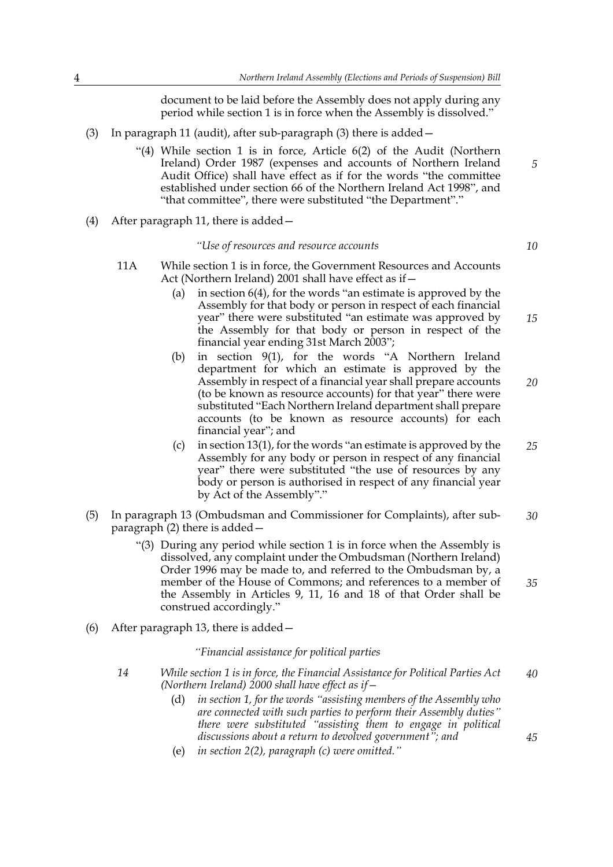document to be laid before the Assembly does not apply during any period while section 1 is in force when the Assembly is dissolved."

- (3) In paragraph 11 (audit), after sub-paragraph (3) there is added—
	- "(4) While section 1 is in force, Article 6(2) of the Audit (Northern Ireland) Order 1987 (expenses and accounts of Northern Ireland Audit Office) shall have effect as if for the words "the committee established under section 66 of the Northern Ireland Act 1998", and "that committee", there were substituted "the Department"."
- (4) After paragraph 11, there is added—

#### *"Use of resources and resource accounts*

- 11A While section 1 is in force, the Government Resources and Accounts Act (Northern Ireland) 2001 shall have effect as if—
	- (a) in section 6(4), for the words "an estimate is approved by the Assembly for that body or person in respect of each financial year" there were substituted "an estimate was approved by the Assembly for that body or person in respect of the financial year ending 31st March 2003";
	- (b) in section 9(1), for the words "A Northern Ireland department for which an estimate is approved by the Assembly in respect of a financial year shall prepare accounts (to be known as resource accounts) for that year" there were substituted "Each Northern Ireland department shall prepare accounts (to be known as resource accounts) for each financial year"; and
	- (c) in section 13(1), for the words "an estimate is approved by the Assembly for any body or person in respect of any financial year" there were substituted "the use of resources by any body or person is authorised in respect of any financial year by Act of the Assembly"." *25*
- (5) In paragraph 13 (Ombudsman and Commissioner for Complaints), after subparagraph (2) there is added— *30*
	- "(3) During any period while section 1 is in force when the Assembly is dissolved, any complaint under the Ombudsman (Northern Ireland) Order 1996 may be made to, and referred to the Ombudsman by, a member of the House of Commons; and references to a member of the Assembly in Articles 9, 11, 16 and 18 of that Order shall be construed accordingly."
- (6) After paragraph 13, there is added—

#### *"Financial assistance for political parties*

- *14 While section 1 is in force, the Financial Assistance for Political Parties Act (Northern Ireland) 2000 shall have effect as if— 40*
	- (d) *in section 1, for the words "assisting members of the Assembly who are connected with such parties to perform their Assembly duties" there were substituted "assisting them to engage in political discussions about a return to devolved government"; and*
	- (e) *in section 2(2), paragraph (c) were omitted."*

*10*

*5*

*15*

*20*

*35*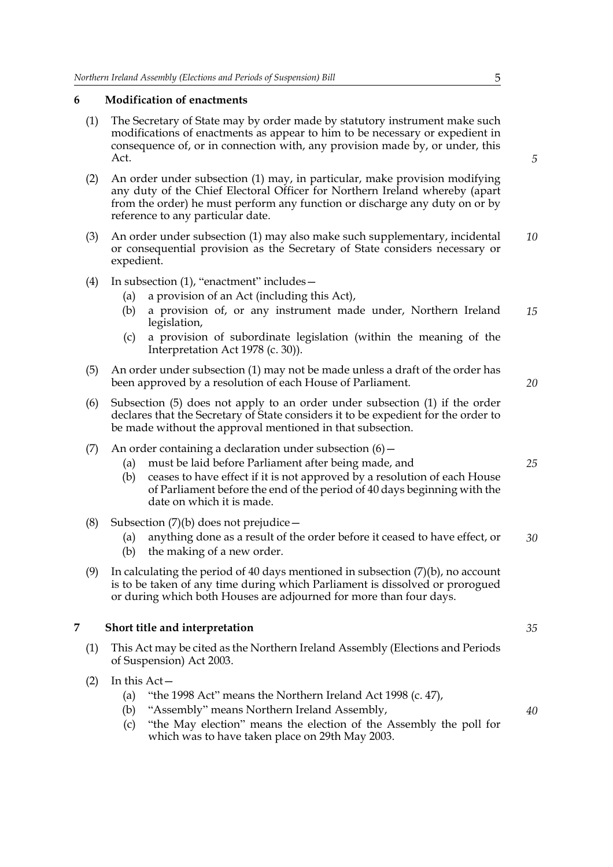#### **6 Modification of enactments**

- (1) The Secretary of State may by order made by statutory instrument make such modifications of enactments as appear to him to be necessary or expedient in consequence of, or in connection with, any provision made by, or under, this Act.
- (2) An order under subsection (1) may, in particular, make provision modifying any duty of the Chief Electoral Officer for Northern Ireland whereby (apart from the order) he must perform any function or discharge any duty on or by reference to any particular date.
- (3) An order under subsection (1) may also make such supplementary, incidental or consequential provision as the Secretary of State considers necessary or expedient. *10*
- (4) In subsection (1), "enactment" includes—
	- (a) a provision of an Act (including this Act),
	- (b) a provision of, or any instrument made under, Northern Ireland legislation, *15*
	- (c) a provision of subordinate legislation (within the meaning of the Interpretation Act 1978 (c. 30)).
- (5) An order under subsection (1) may not be made unless a draft of the order has been approved by a resolution of each House of Parliament.
- (6) Subsection (5) does not apply to an order under subsection (1) if the order declares that the Secretary of State considers it to be expedient for the order to be made without the approval mentioned in that subsection.
- (7) An order containing a declaration under subsection  $(6)$  -
	- (a) must be laid before Parliament after being made, and
	- (b) ceases to have effect if it is not approved by a resolution of each House of Parliament before the end of the period of 40 days beginning with the date on which it is made.
- (8) Subsection  $(7)(b)$  does not prejudice  $-$ 
	- (a) anything done as a result of the order before it ceased to have effect, or *30*
	- (b) the making of a new order.
- (9) In calculating the period of 40 days mentioned in subsection  $(7)(b)$ , no account is to be taken of any time during which Parliament is dissolved or prorogued or during which both Houses are adjourned for more than four days.

#### **7 Short title and interpretation**

- (1) This Act may be cited as the Northern Ireland Assembly (Elections and Periods of Suspension) Act 2003.
- (2) In this Act—
	- (a) "the 1998 Act" means the Northern Ireland Act 1998 (c. 47),
	- (b) "Assembly" means Northern Ireland Assembly,
	- (c) "the May election" means the election of the Assembly the poll for which was to have taken place on 29th May 2003.

*5*

*20*

*25*

*35*